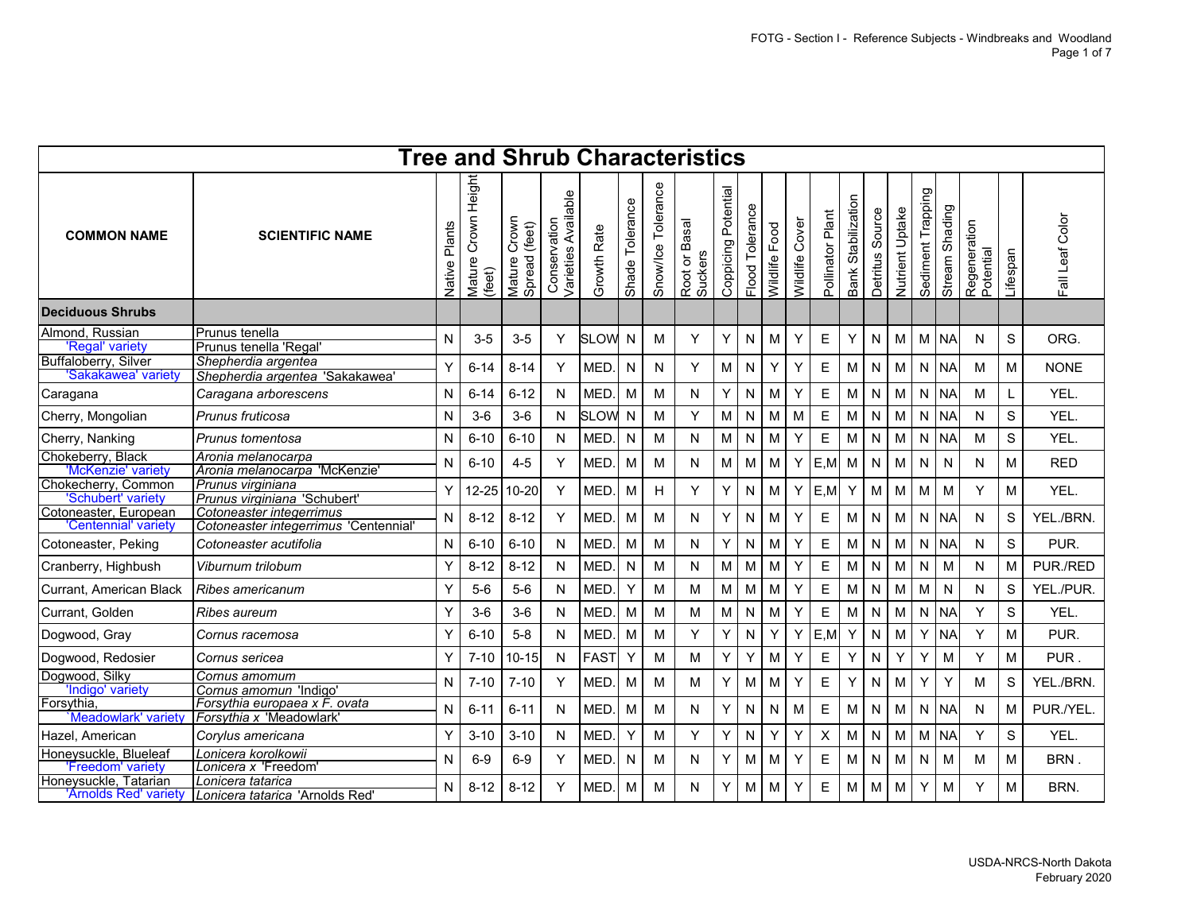|                                                            |                                                                  |                  | <b>Tree and Shrub Characteristics</b> |                                     |                                     |             |                 |                    |                          |                     |                    |               |                |                  |                       |                    |                 |                   |                   |                           |             |                |
|------------------------------------------------------------|------------------------------------------------------------------|------------------|---------------------------------------|-------------------------------------|-------------------------------------|-------------|-----------------|--------------------|--------------------------|---------------------|--------------------|---------------|----------------|------------------|-----------------------|--------------------|-----------------|-------------------|-------------------|---------------------------|-------------|----------------|
| <b>COMMON NAME</b>                                         | <b>SCIENTIFIC NAME</b>                                           | Plants<br>Native | Height<br>Crown<br>Mature<br>(feet)   | Crown<br>(feet)<br>Spread<br>Mature | Varieties Available<br>Conservation | Growth Rate | Shade Tolerance | Snow/Ice Tolerance | Root or Basal<br>Suckers | Coppicing Potential | Tolerance<br>Flood | Wildlife Food | Wildlife Cover | Pollinator Plant | Stabilization<br>Bank | Source<br>Detritus | Nutrient Uptake | Sediment Trapping | Shading<br>Stream | Regeneration<br>Potential | Lifespan    | all Leaf Color |
| <b>Deciduous Shrubs</b>                                    |                                                                  |                  |                                       |                                     |                                     |             |                 |                    |                          |                     |                    |               |                |                  |                       |                    |                 |                   |                   |                           |             |                |
| Almond, Russian<br>'Regal' variety<br>Buffaloberry, Silver | Prunus tenella<br>Prunus tenella 'Regal'<br>Shepherdia argentea  | N                | $3-5$                                 | $3-5$                               | Y                                   | <b>SLOW</b> | N               | м                  | Y                        | Y                   | N                  | М             | Y              | Е                | Y                     | N                  | M               | M.                | <b>NA</b>         | N                         | S           | ORG.           |
| 'Sakakawea' variety                                        | Shepherdia argentea 'Sakakawea'                                  | Υ                | $6 - 14$                              | $8 - 14$                            | Y                                   | MED.        | $\mathsf{N}$    | N                  | Y                        | M                   | N                  | Y             | Y              | Е                | M                     | N                  | M               | N                 | <b>NA</b>         | М                         | М           | <b>NONE</b>    |
| Caragana                                                   | Caragana arborescens                                             | N                | $6 - 14$                              | $6 - 12$                            | N                                   | MED.        | M               | M                  | N                        | Y                   | N                  | M             | Υ              | E                | М                     | N                  | M               | N                 | <b>NA</b>         | М                         | L           | YEL.           |
| Cherry, Mongolian                                          | Prunus fruticosa                                                 | N                | $3-6$                                 | $3-6$                               | N                                   | <b>SLOW</b> | N               | M                  | Y                        | М                   | N                  | M             | M              | E                | М                     | N                  | M               | N                 | <b>NA</b>         | N                         | S           | YEL.           |
| Cherry, Nanking                                            | Prunus tomentosa                                                 | N                | $6 - 10$                              | $6 - 10$                            | N                                   | <b>MED</b>  | $\mathsf{N}$    | M                  | N                        | M.                  | N                  | M             | Y              | E                | М                     | N                  | M               | N                 | <b>NA</b>         | M                         | S           | YEL.           |
| Chokeberry, Black<br>'McKenzie' variety                    | Aronia melanocarpa<br>Aronia melanocarpa 'McKenzie'              | N                | $6 - 10$                              | $4 - 5$                             | Y                                   | MED.        | M               | M                  | N                        | M                   | м                  | M             | Y              | E, M             | М                     | N                  | M               | N                 | N                 | N                         | М           | <b>RED</b>     |
| Chokecherry, Common<br>'Schubert' variety                  | Prunus virginiana<br>Prunus virginiana 'Schubert'                | Υ                | 12-25                                 | $10 - 20$                           | Y                                   | <b>MED</b>  | M               | H                  | Y                        | Y.                  | N                  | M             | Y              | E, M             | Y                     | M                  | M               | M                 | M                 | Y                         | М           | YEL.           |
| Cotoneaster, European<br>'Centennial' variety              | Cotoneaster integerrimus<br>Cotoneaster integerrimus 'Centennial | N                | $8 - 12$                              | $8 - 12$                            | Y                                   | <b>MED</b>  | M               | M                  | N                        | Y.                  | N                  | M             | Y              | Е                | M                     | N                  | M               | N                 | <b>NA</b>         | N                         | S           | YEL./BRN.      |
| Cotoneaster, Peking                                        | Cotoneaster acutifolia                                           | N                | $6 - 10$                              | $6 - 10$                            | N                                   | MED.        | M               | M                  | N                        | Y.                  | N                  | M             | Y              | Е                | M                     | N                  | M               | $\mathsf{N}$      | <b>NA</b>         | N                         | $\mathsf S$ | PUR.           |
| Cranberry, Highbush                                        | Viburnum trilobum                                                | Υ                | $8 - 12$                              | $8 - 12$                            | $\mathsf{N}$                        | <b>MED</b>  | N               | M                  | N                        | M                   | M                  | M             | Y              | $\mathsf E$      | M                     | N                  | M               | N                 | M                 | N                         | М           | PUR./RED       |
| Currant, American Black                                    | Ribes americanum                                                 | Y                | $5-6$                                 | $5-6$                               | N                                   | <b>MED</b>  | Y               | M                  | M                        | M                   | M                  | M             | Υ              | Е                | М                     | ${\sf N}$          | M               | M                 | ${\sf N}$         | N                         | S           | YEL./PUR.      |
| Currant, Golden                                            | Ribes aureum                                                     | Υ                | $3-6$                                 | $3-6$                               | N                                   | <b>MED</b>  | M               | M                  | М                        | M.                  | N                  | M             | Y              | Е                | М                     | N                  | M               | N                 | <b>NA</b>         | Y                         | S           | YEL.           |
| Dogwood, Gray                                              | Cornus racemosa                                                  | Υ                | $6 - 10$                              | $5 - 8$                             | N                                   | <b>MED</b>  | M               | M                  | Y                        | Y.                  | N                  | Y             | Y              | E,M              | Υ                     | N                  | M               | Y                 | <b>NA</b>         | Y                         | М           | PUR.           |
| Dogwood, Redosier                                          | Cornus sericea                                                   | Υ                | $7 - 10$                              | $10 - 15$                           | N                                   | <b>FAST</b> | Y               | M                  | м                        | Y.                  | Υ                  | M             | Υ              | Е                | Y                     | N                  | Y               | Υ                 | м                 | Y                         | м           | PUR.           |
| Dogwood, Silky<br>'Indigo' variety                         | Cornus amomum<br>Cornus amomun 'Indigo'                          | N                | $7 - 10$                              | $7 - 10$                            | Y                                   | <b>MED</b>  | M               | M                  | М                        | Y                   | M                  | M             | Y              | Е                | Y                     | N                  | M               | Y                 | Y                 | M                         | S           | YEL./BRN.      |
| Forsythia,<br>Meadowlark' variety                          | Forsythia europaea x F. ovata<br>Forsythia x 'Meadowlark'        | N                | $6 - 11$                              | $6 - 11$                            | N                                   | MED.        | M               | M                  | N                        | Y                   | N                  | N             | м              | Е                | М                     | N                  | M               | N                 | <b>NA</b>         | N                         | М           | PUR./YEL.      |
| Hazel, American                                            | Corylus americana                                                | Υ                | $3 - 10$                              | $3 - 10$                            | N                                   | <b>MED</b>  | Y               | M                  | Y                        | Y                   | N                  | Y             | Y              | X                | М                     | N                  | M               | М                 | <b>NA</b>         | Y                         | S           | YEL.           |
| Honeysuckle, Blueleaf<br>'Freedom' variety                 | Lonicera korolkowii<br>Lonicera x 'Freedom                       | N                | $6-9$                                 | $6-9$                               | Y                                   | MED.        | N               | M                  | N                        | Y                   | M                  | M             | Y              | Е                | М                     | N                  | M               | N                 | M                 | M                         | M           | BRN.           |
| Honeysuckle, Tatarian<br>'Arnolds Red' variety             | Lonicera tatarica<br>Lonicera tatarica 'Arnolds Red'             | N                | $8 - 12$                              | $8 - 12$                            | Y                                   | <b>MED</b>  | M               | M                  | N                        | Y                   | M                  | M             | Y              | Е                | М                     | M                  | M               | Y                 | M                 | Y                         | М           | BRN.           |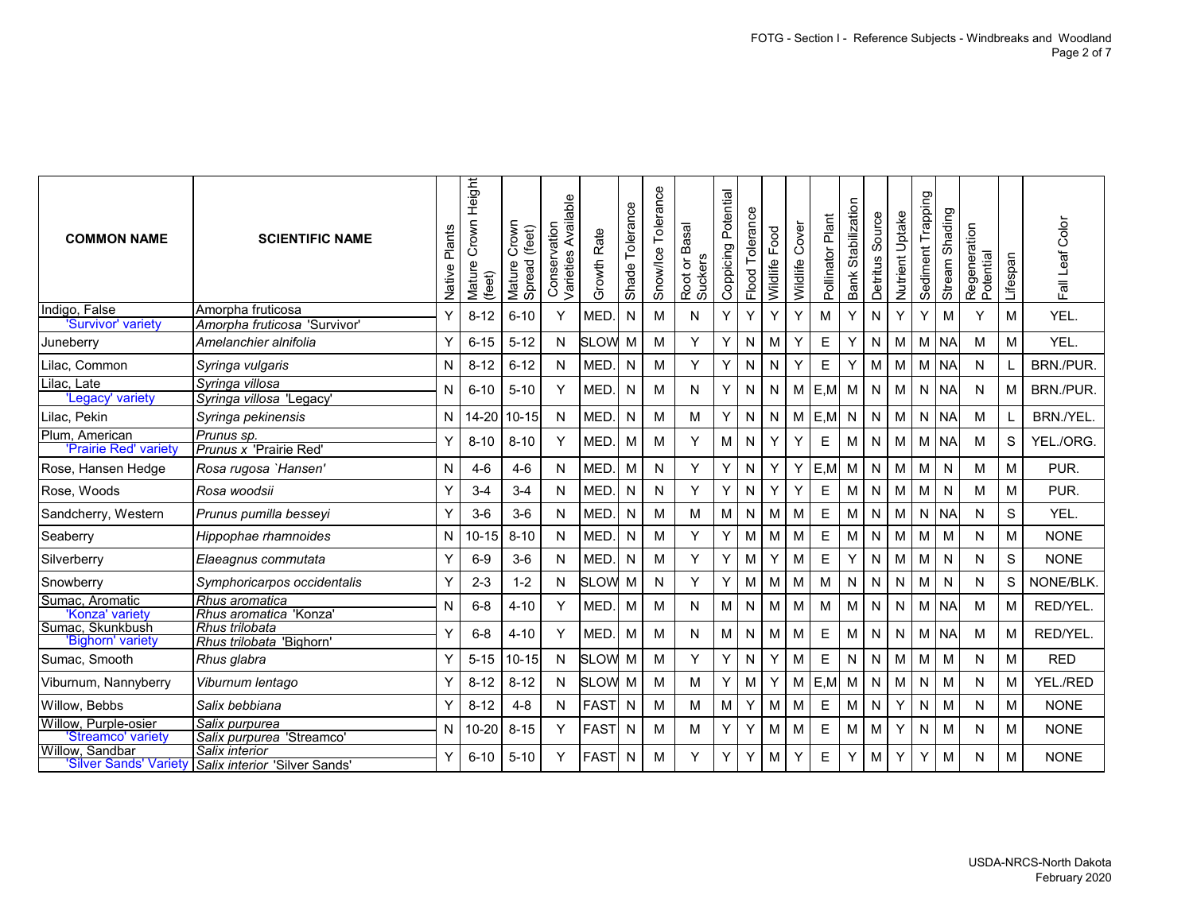| <b>COMMON NAME</b>                         | <b>SCIENTIFIC NAME</b>                                | Plants<br>Native | Height<br>Crown<br>Mature<br>(feet) | Crown<br>(feet)<br>Spread<br>Mature | Available<br>Conservation<br>Varieties | Growth Rate   | Shade Tolerance | Tolerance<br>Snow/Ice | Root or Basal<br>Suckers | Coppicing Potential | Flood Tolerance | Food<br>Wildlife | Cover<br>Wildlife | Pollinator Plant | Bank Stabilization | Source<br>Detritus | Nutrient Uptake | Trapping<br>Sediment | Shading<br>Stream | Regeneration<br>Potential | Lifespan    | Fall Leaf Color |
|--------------------------------------------|-------------------------------------------------------|------------------|-------------------------------------|-------------------------------------|----------------------------------------|---------------|-----------------|-----------------------|--------------------------|---------------------|-----------------|------------------|-------------------|------------------|--------------------|--------------------|-----------------|----------------------|-------------------|---------------------------|-------------|-----------------|
| Indigo, False<br>'Survivor' variety        | Amorpha fruticosa                                     | Υ                | $8 - 12$                            | $6 - 10$                            | Y                                      | MED.          | N               | м                     | N                        | Y                   | Y               | Y                | Y                 | M                | Y                  | N                  | Y               | Y                    | M                 | Y                         | M           | YEL.            |
| Juneberry                                  | Amorpha fruticosa 'Survivor'<br>Amelanchier alnifolia |                  | $6 - 15$                            | $5 - 12$                            | N                                      | <b>SLOW</b>   | M               | м                     | Y                        | Y                   | N               | M                | Υ                 | E                | Y                  | N                  | M               | М                    | <b>NA</b>         | M                         | M           | YEL.            |
| Lilac, Common                              | Syringa vulgaris                                      | N                | $8 - 12$                            | $6 - 12$                            | $\mathsf{N}$                           | MED.          | ${\sf N}$       | M                     | Y                        | Υ                   | N               | N                | Y                 | E                | Υ                  | M                  | M               | М                    | <b>NA</b>         | ${\sf N}$                 | L           | BRN./PUR.       |
| Lilac, Late<br>'Legacy' variety            | Syringa villosa<br>Syringa villosa 'Legacy'           | N                | $6 - 10$                            | $5 - 10$                            | Υ                                      | MED.          | N               | M                     | N                        | Y                   | N               | N                | M                 | E, M             | М                  | $\mathsf{N}$       | М               | N                    | <b>NA</b>         | N                         | M           | BRN./PUR.       |
| Lilac, Pekin                               | Syringa pekinensis                                    | N                | 14-20                               | $10 - 15$                           | N                                      | MED.          | N               | M                     | М                        | Y                   | N               | N                | M                 | E, M             | N                  | N                  | M               | N                    | <b>NA</b>         | M                         | L           | BRN./YEL.       |
| Plum, American<br>'Prairie Red' variety    | Prunus sp.<br>Prunus x 'Prairie Red'                  | Υ                | $8 - 10$                            | $8 - 10$                            | Y                                      | MED.          | М               | м                     | Y                        | M                   | N               | Y                | Y                 | $\mathsf E$      | М                  | N                  | M               | м                    | <b>NA</b>         | M                         | S           | YEL./ORG.       |
| Rose, Hansen Hedge                         | Rosa rugosa `Hansen'                                  | N                | $4-6$                               | $4-6$                               | N                                      | MED.          | M               | N                     | Y                        | Y                   | N               | Y                | Υ                 | E,M              | М                  | N                  | M               | M                    | N                 | M                         | M           | PUR.            |
| Rose, Woods                                | Rosa woodsii                                          | Υ                | $3 - 4$                             | $3 - 4$                             | N                                      | MED.          | N               | N                     | Y                        | Υ                   | N               | Y                | Y                 | $\mathsf E$      | Μ                  | ${\sf N}$          | M               | М                    | N                 | M                         | M           | PUR.            |
| Sandcherry, Western                        | Prunus pumilla besseyi                                | Υ                | $3-6$                               | $3-6$                               | N                                      | <b>MED</b>    | N               | M                     | М                        | M                   | N               | M                | M                 | E                | М                  | N                  | M               | N                    | <b>NA</b>         | N                         | S           | YEL.            |
| Seaberry                                   | Hippophae rhamnoides                                  | N                | $10 - 15$                           | $8 - 10$                            | N                                      | MED.          | N               | м                     | Y                        | Y                   | M               | M                | M                 | E                | М                  | N                  | M               | M                    | M                 | N                         | M           | <b>NONE</b>     |
| Silverberry                                | Elaeagnus commutata                                   | Y                | $6-9$                               | $3-6$                               | N                                      | MED.          | N               | м                     | Y                        | Y                   | M               | Y                | M                 | E                | Y                  | N                  | M               | M                    | N                 | N                         | S           | <b>NONE</b>     |
| Snowberry                                  | Symphoricarpos occidentalis                           |                  | $2 - 3$                             | $1 - 2$                             | N                                      | <b>SLOW</b>   | M               | N                     | Υ                        | Υ                   | М               | M                | M                 | M                | N                  | N                  | N               | М                    | N                 | N                         | $\mathbb S$ | NONE/BLK.       |
| Sumac, Aromatic<br>'Konza' varietv         | Rhus aromatica<br>Rhus aromatica 'Konza'              | N                | $6 - 8$                             | $4 - 10$                            | Y                                      | MED.          | M               | M                     | N                        | M                   | N               | M                | M                 | M                | М                  | N                  | ${\sf N}$       | М                    | <b>NA</b>         | M                         | M           | RED/YEL.        |
| Sumac, Skunkbush<br>'Bighorn' variety      | Rhus trilobata<br>Rhus trilobata 'Bighorn'            | Y                | $6 - 8$                             | $4 - 10$                            |                                        | MED.          | М               | M                     | N                        | M                   | N               | М                | M                 | E                | М                  | N                  | N               | м                    | <b>NA</b>         | M                         | M           | RED/YEL.        |
| Sumac, Smooth                              | Rhus glabra                                           | Υ                | $5 - 15$                            | $10 - 15$                           | N                                      | <b>SLOW</b>   | M               | м                     | Y                        | Y                   | N               | Y                | M                 | $\mathsf E$      | N                  | N                  | M               | M                    | M                 | N                         | M           | <b>RED</b>      |
| Viburnum, Nannyberry                       | Viburnum lentago                                      | Υ                | $8 - 12$                            | $8 - 12$                            | N                                      | <b>SLOW M</b> |                 | M                     | м                        | Y                   | M               | Y                | M                 | E, M             | M                  | ${\sf N}$          | M               | N                    | М                 | N                         | M           | YEL./RED        |
| Willow, Bebbs                              | Salix bebbiana                                        | Υ                | $8 - 12$                            | $4 - 8$                             | N                                      | <b>FAST</b>   | N               | M                     | М                        | M                   | Y               | M                | M                 | E                | М                  | N                  | Y               | N                    | М                 | N                         | M           | <b>NONE</b>     |
| Willow, Purple-osier<br>'Streamco' varietv | Salix purpurea<br>Salix purpurea 'Streamco'           | N                | $0 - 20$                            | $8 - 15$                            |                                        | <b>FAST</b>   | N               | м                     | М                        | Υ                   | Y               | M                | M                 | E                | М                  | М                  | Υ               | N                    | М                 | N                         | M           | <b>NONE</b>     |
| Willow, Sandbar<br>'Silver Sands' Variety  | Salix interior<br>Salix interior 'Silver Sands'       | Y                | $6 - 10$                            | $5 - 10$                            | Y                                      | <b>FAST</b>   | N               | M                     | Y                        | Y                   | Y               | M                | Y                 | E                | Y                  | M                  | Y               | Y                    | М                 | N                         | M           | <b>NONE</b>     |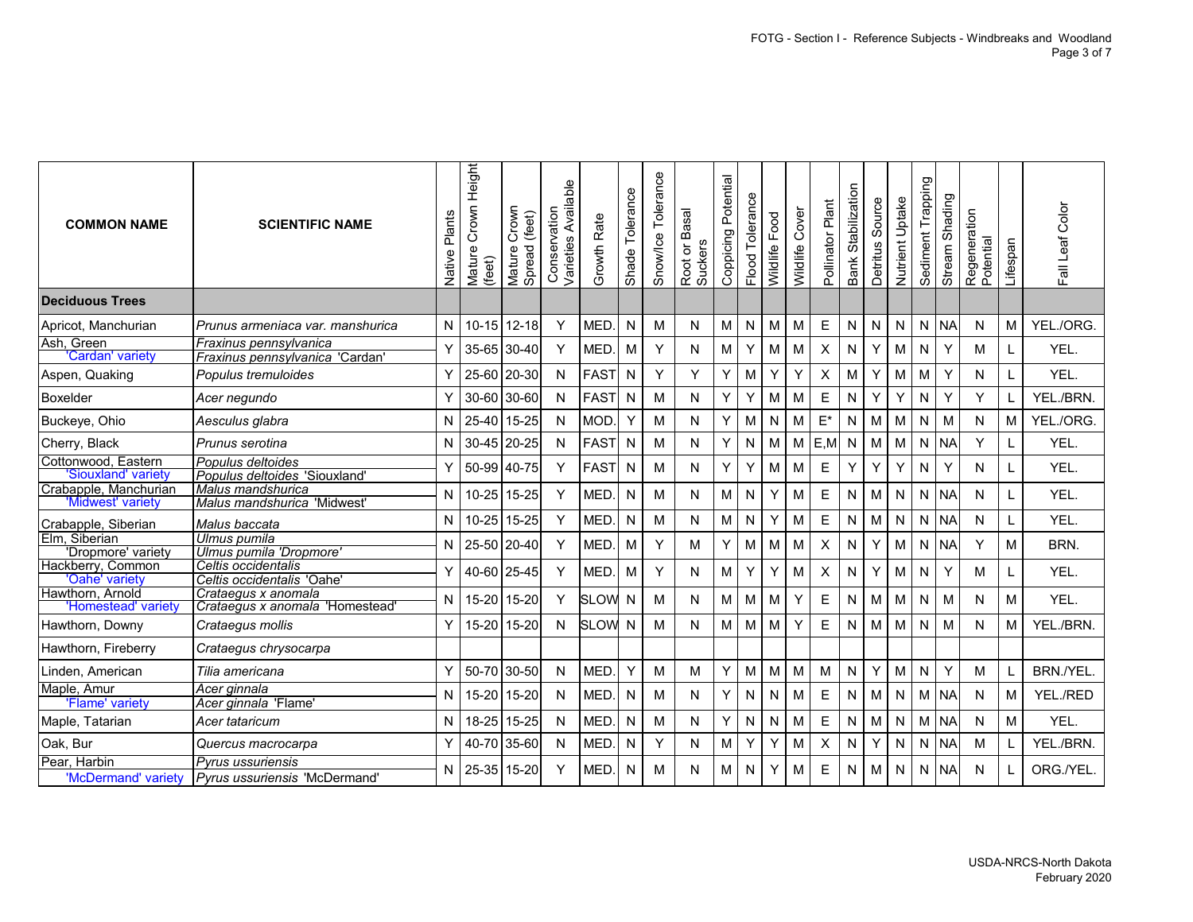| <b>COMMON NAME</b>                           | <b>SCIENTIFIC NAME</b>                                           | Plants<br>Native | Crown Height<br>Mature<br>(feet) | Crown<br>(feet)<br>Mature (<br>Spread | Available<br>Conservation<br>Varieties | Growth Rate   | Shade Tolerance | Snow/Ice Tolerance | Root or Basal<br>Suckers | Coppicing Potential | Flood Tolerance | Food<br>Wildlife | Cover<br>Wildlife | Pollinator Plant | Stabilization<br><b>Bank</b> | Source<br>Detritus | Nutrient Uptake | Trapping<br>Sediment | Shading<br>Stream | Regeneration<br>Potential | Lifespan  | Fall Leaf Color |
|----------------------------------------------|------------------------------------------------------------------|------------------|----------------------------------|---------------------------------------|----------------------------------------|---------------|-----------------|--------------------|--------------------------|---------------------|-----------------|------------------|-------------------|------------------|------------------------------|--------------------|-----------------|----------------------|-------------------|---------------------------|-----------|-----------------|
| <b>Deciduous Trees</b>                       |                                                                  |                  |                                  |                                       |                                        |               |                 |                    |                          |                     |                 |                  |                   |                  |                              |                    |                 |                      |                   |                           |           |                 |
| Apricot, Manchurian                          | Prunus armeniaca var. manshurica                                 | N                | $10 - 15$                        | $12 - 18$                             | $\mathsf{Y}$                           | MED.          | N               | M                  | N                        | M                   | N               | м                | M                 | Ε                | N                            | N                  | N               | N                    | <b>NA</b>         | N                         | M         | YEL./ORG.       |
| Ash, Green<br>'Cardan' variety               | Fraxinus pennsylvanica<br>Fraxinus pennsylvanica 'Cardan'        | Y                | 35-65                            | 30-40                                 | Y                                      | MED.          | M               | Y                  | N                        | M                   | Υ               | м                | M                 | X                | N                            | Y                  | M               | N                    | Υ                 | м                         | L         | YEL.            |
| Aspen, Quaking                               | Populus tremuloides                                              | Y                |                                  | 25-60 20-30                           | $\mathsf{N}$                           | <b>FAST</b>   | N               | Y                  | Y                        | Y                   | M               | Υ                | Y                 | X                | M                            | Y                  | M               | М                    | Y                 | N                         | L         | YEL.            |
| Boxelder                                     | Acer negundo                                                     | Y                | 30-60                            | 30-60                                 | $\mathsf{N}$                           | <b>FAST</b>   | N               | M                  | N                        | Y                   | Y               | M                | M                 | E                | N                            | Y                  | Y               | N                    | Y                 | Y                         | L         | YEL./BRN.       |
| Buckeye, Ohio                                | Aesculus glabra                                                  | N                | 25-40                            | 15-25                                 | $\mathsf{N}$                           | <b>MOD</b>    | Y               | M                  | N                        | Υ                   | М               | N                | M                 | $E^*$            | N                            | М                  | M               | N                    | M                 | N                         | ${\sf M}$ | YEL./ORG.       |
| Cherry, Black                                | Prunus serotina                                                  | N                | 30-45                            | $20 - 25$                             | N                                      | <b>FAST</b>   | N               | M                  | ${\sf N}$                | Y                   | N               | M                | M                 | E, M             | $\mathsf{N}$                 | M                  | M               | N                    | <b>NA</b>         | Y                         | L         | YEL.            |
| Cottonwood, Eastern                          | Populus deltoides                                                | Y                | 50-99                            | 40-75                                 | Y                                      | <b>FAST</b>   | N               | M                  | N                        | Υ                   | Υ               | м                | M                 | E                | Υ                            | Y                  | Y               | N                    | Y                 | N                         | L         | YEL.            |
| 'Siouxland' variety<br>Crabapple, Manchurian | Populus deltoides 'Siouxland<br>Malus mandshurica                |                  |                                  |                                       |                                        |               |                 |                    |                          |                     |                 |                  |                   |                  |                              |                    |                 |                      |                   |                           |           |                 |
| 'Midwest' variety                            | Malus mandshurica 'Midwest                                       | N                | $10 - 25$                        | 15-25                                 | $\mathsf{Y}$                           | MED.          | N               | M                  | N                        | M                   | ${\sf N}$       | Y                | M                 | E                | N                            | M                  | N               |                      | N NA              | N                         | L         | YEL.            |
| Crabapple, Siberian                          | Malus baccata                                                    | N                | $10 - 25$                        | 15-25                                 | $\mathsf{Y}$                           | MED.          | N               | M                  | N                        | M                   | N               | Υ                | M                 | E                | N                            | М                  | $\mathsf{N}$    |                      | N NA              | N                         | Г         | YEL.            |
| Elm, Siberian                                | Ulmus pumila                                                     | N                | 25-50                            | $20 - 40$                             | $\mathsf{Y}$                           | MED.          | M               | Y                  | М                        | Y                   | M               | M                | M                 | X                | N                            | Υ                  | M               | N                    | <b>NA</b>         | Y                         | M         | BRN.            |
| 'Dropmore' variety<br>Hackberry, Common      | Ulmus pumila 'Dropmore'<br>Celtis occidentalis                   |                  |                                  |                                       |                                        |               |                 |                    |                          |                     |                 |                  |                   |                  |                              |                    |                 |                      |                   |                           |           |                 |
| 'Oahe' variety                               | Celtis occidentalis 'Oahe'                                       | Y                |                                  | 40-60 25-45                           | $\mathsf{Y}$                           | MED.          | M               | Y                  | N                        | M                   | Y               | Υ                | M                 | X                | ${\sf N}$                    | Υ                  | M               | N                    | Y                 | М                         | L         | YEL.            |
| Hawthorn, Arnold                             | Crataegus x anomala                                              | N                | $15 - 20$                        | 15-20                                 | Y                                      | <b>SLOW</b>   | N               | M                  | N                        | M                   | M               | м                | Y                 | E                | N                            | м                  | M               | N                    | M                 | N                         | M         | YEL.            |
| 'Homestead' variety                          | Crataegus x anomala 'Homestead'                                  |                  |                                  |                                       |                                        |               |                 |                    |                          |                     |                 |                  |                   |                  |                              |                    |                 |                      |                   |                           |           |                 |
| Hawthorn, Downy                              | Crataequs mollis                                                 | Y                | $15 - 20$                        | 15-20                                 | $\mathsf{N}$                           | <b>SLOW N</b> |                 | M                  | N                        | M                   | M               | м                | Y                 | E                | N                            | M                  | M               | N                    | M                 | N                         | M         | YEL./BRN.       |
| Hawthorn, Fireberry                          | Crataegus chrysocarpa                                            |                  |                                  |                                       |                                        |               |                 |                    |                          |                     |                 |                  |                   |                  |                              |                    |                 |                      |                   |                           |           |                 |
| Linden, American                             | Tilia americana                                                  | Y                | 50-70                            | 30-50                                 | $\mathsf{N}$                           | MED.          | Y               | M                  | M                        | Υ                   | M               | М                | M                 | M                | N                            | Y                  | M               | N                    | Y                 | М                         | L         | BRN./YEL.       |
| Maple, Amur<br>'Flame' variety               | Acer ginnala<br>Acer ginnala 'Flame'                             | N                | 15-20                            | 15-20                                 | N                                      | MED.          | N               | M                  | N                        | Υ                   | N               | N                | M                 | Ε                | N                            | M                  | ${\sf N}$       | М                    | <b>NA</b>         | N                         | M         | YEL./RED        |
| Maple, Tatarian                              | Acer tataricum                                                   | N                | 18-25                            | 15-25                                 | $\mathsf{N}$                           | MED.          | N               | M                  | N                        | Υ                   | N               | N                | M                 | E                | N                            | M                  | N               |                      | M NA              | N                         | M         | YEL.            |
| Oak, Bur                                     | Quercus macrocarpa                                               | Y                | 40-70                            | 35-60                                 | $\mathsf{N}$                           | MED.          | N               | Y                  | N                        | M                   | Υ               | Υ                | M                 | X                | N                            | Υ                  | N               | N                    | <b>NA</b>         | М                         | L         | YEL./BRN.       |
| Pear, Harbin<br>'McDermand' variety          | <b>Pyrus ussuriensis</b><br><b>Pyrus ussuriensis 'McDermand'</b> | N                | 25-35                            | 15-20                                 | Y                                      | MED.          | N               | м                  | N                        | М                   | N               | Υ                | M                 | E                | N                            | M                  | N               | N                    | <b>NA</b>         | N                         | L.        | ORG./YEL.       |
|                                              |                                                                  |                  |                                  |                                       |                                        |               |                 |                    |                          |                     |                 |                  |                   |                  |                              |                    |                 |                      |                   |                           |           |                 |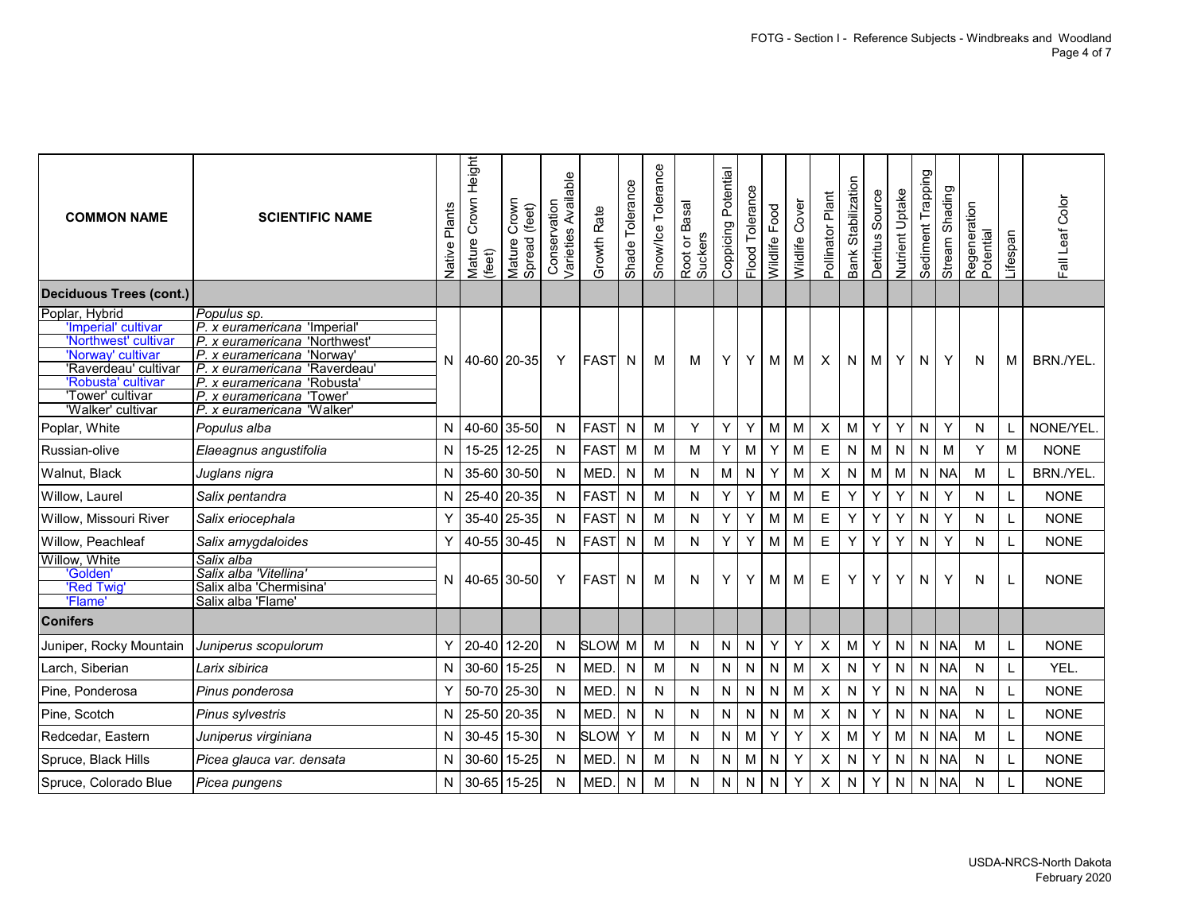| <b>COMMON NAME</b>                                                                                                                                                        | <b>SCIENTIFIC NAME</b>                                                                                                                                                                                                                   | Plants<br>Native | Height<br>Crown<br>Mature<br>(feet) | Crown<br>Mature Crown<br>Spread (feet) | Varieties Available<br>Conservation | Growth Rate | Tolerance<br>Shade <sup>-</sup> | Snow/Ice Tolerance | Root or Basal<br>Suckers | Coppicing Potential | Flood Tolerance | Wildlife Food | Wildlife Cover | Pollinator Plant | Bank Stabilization | Source<br>Detritus | Nutrient Uptake | Trapping<br>Sediment | Shading<br>Stream | Regeneration<br>Potential | Lifespan | Fall Leaf Color |
|---------------------------------------------------------------------------------------------------------------------------------------------------------------------------|------------------------------------------------------------------------------------------------------------------------------------------------------------------------------------------------------------------------------------------|------------------|-------------------------------------|----------------------------------------|-------------------------------------|-------------|---------------------------------|--------------------|--------------------------|---------------------|-----------------|---------------|----------------|------------------|--------------------|--------------------|-----------------|----------------------|-------------------|---------------------------|----------|-----------------|
| <b>Deciduous Trees (cont.)</b>                                                                                                                                            |                                                                                                                                                                                                                                          |                  |                                     |                                        |                                     |             |                                 |                    |                          |                     |                 |               |                |                  |                    |                    |                 |                      |                   |                           |          |                 |
| Poplar, Hybrid<br>'Imperial' cultivar<br>'Northwest' cultivar<br>'Norway' cultivar<br>'Raverdeau' cultivar<br>'Robusta' cultivar<br>'Tower' cultivar<br>'Walker' cultivar | Populus sp.<br>P. x euramericana 'Imperial<br>P. x euramericana 'Northwest'<br>P. x euramericana 'Norway'<br>IP. x euramericana 'Raverdeau'<br>P. x euramericana 'Robusta'<br>P. x euramericana<br>'Tower'<br>P. x euramericana 'Walker' | N.               | 40-60 20-35                         |                                        | Y                                   | <b>FAST</b> | N.                              | м                  | м                        | Y                   | Y               | М             | M              | X                | N                  | M                  | Y               | N.                   | Y                 | N                         | М        | BRN./YEL.       |
| Poplar, White                                                                                                                                                             | Populus alba                                                                                                                                                                                                                             | N                | 40-60 35-50                         |                                        | N                                   | <b>FAST</b> | N                               | M                  | Y                        | Y                   | Y               | M             | M              | $\pmb{\times}$   | M                  | Υ                  | Y               | N                    | Y                 | N                         |          | NONE/YEL.       |
| Russian-olive                                                                                                                                                             | Elaeagnus angustifolia                                                                                                                                                                                                                   | N                | 15-25 12-25                         |                                        | N                                   | <b>FAST</b> | M                               | M                  | M                        | Y                   | M               | Υ             | M              | Ε                | ${\sf N}$          | М                  | N               | N                    | M                 | Y                         | М        | <b>NONE</b>     |
| Walnut, Black                                                                                                                                                             | Juglans nigra                                                                                                                                                                                                                            | N                | 35-60 30-50                         |                                        | N                                   | <b>MED</b>  | N                               | M                  | ${\sf N}$                | ${\sf M}$           | N               | Υ             | M              | X                | ${\sf N}$          | M                  | M               |                      | N NA              | M                         | L        | BRN./YEL.       |
| Willow, Laurel                                                                                                                                                            | Salix pentandra                                                                                                                                                                                                                          | N                | 25-40 20-35                         |                                        | N                                   | <b>FAST</b> | N                               | M                  | N                        | Υ                   | Υ               | М             | M              | E                | Υ                  | Y                  | Υ               | N                    | Y                 | N                         | L        | <b>NONE</b>     |
| Willow, Missouri River                                                                                                                                                    | Salix eriocephala                                                                                                                                                                                                                        | Υ                | 35-40 25-35                         |                                        | N                                   | <b>FAST</b> | N                               | M                  | N                        | Y                   | Y               | М             | M              | Е                | Y                  | Y                  | Υ               | N                    | Y                 | N                         |          | <b>NONE</b>     |
| Willow, Peachleaf                                                                                                                                                         | Salix amygdaloides                                                                                                                                                                                                                       | Y                | 40-55 30-45                         |                                        | N                                   | <b>FAST</b> | N                               | M                  | ${\sf N}$                | Υ                   | Υ               | M             | M              | E                | Υ                  | Y                  | Y               | N                    | Y                 | Ν                         |          | <b>NONE</b>     |
| Willow, White<br>'Golden'<br>'Red Twig<br>'Flame'                                                                                                                         | Salix alba<br>Salix alba 'Vitellina'<br>Salix alba 'Chermisina<br>Salix alba 'Flame'                                                                                                                                                     | N                | 40-65 30-50                         |                                        | Υ                                   | <b>FAST</b> | $\mathsf{N}$                    | м                  | N                        | Y                   | Y               | м             | M              | Ε                | Υ                  | Y                  | Y               | N                    | Y                 | N                         |          | <b>NONE</b>     |
| <b>Conifers</b>                                                                                                                                                           |                                                                                                                                                                                                                                          |                  |                                     |                                        |                                     |             |                                 |                    |                          |                     |                 |               |                |                  |                    |                    |                 |                      |                   |                           |          |                 |
| Juniper, Rocky Mountain                                                                                                                                                   | Juniperus scopulorum                                                                                                                                                                                                                     | Υ                | 20-40 12-20                         |                                        | N                                   | <b>SLOW</b> | M                               | M                  | ${\sf N}$                | $\mathsf{N}$        | N               | Υ             | Y              | $\pmb{\times}$   | M                  | Υ                  | ${\sf N}$       | N                    | <b>NA</b>         | M                         | L        | <b>NONE</b>     |
| Larch, Siberian                                                                                                                                                           | Larix sibirica                                                                                                                                                                                                                           | N                | 30-60 15-25                         |                                        | N                                   | MED.        | N                               | M                  | ${\sf N}$                | $\mathsf{N}$        | N               | N             | M              | X                | ${\sf N}$          | Y                  | N               | N.                   | <b>NA</b>         | N                         | L        | YEL.            |
| Pine, Ponderosa                                                                                                                                                           | Pinus ponderosa                                                                                                                                                                                                                          | Υ                | 50-70 25-30                         |                                        | N                                   | <b>MED</b>  | N                               | $\mathsf{N}$       | N                        | ${\sf N}$           | N               | N             | M              | Χ                | ${\sf N}$          | Y                  | N               | N                    | <b>NA</b>         | N                         | L        | <b>NONE</b>     |
| Pine, Scotch                                                                                                                                                              | Pinus sylvestris                                                                                                                                                                                                                         | N                | 25-50 20-35                         |                                        | N                                   | <b>MED</b>  | N                               | N                  | N                        | ${\sf N}$           | N               | N             | M              | Χ                | N                  | Υ                  | ${\sf N}$       | N.                   | <b>NA</b>         | N                         | L        | <b>NONE</b>     |
| Redcedar, Eastern                                                                                                                                                         | Juniperus virginiana                                                                                                                                                                                                                     | N                | 30-45 15-30                         |                                        | N                                   | <b>SLOW</b> | Y                               | M                  | ${\sf N}$                | $\mathsf{N}$        | М               | Y             | Y              | Χ                | M                  | Y                  | M               | $N_{\odot}$          | <b>NA</b>         | M                         | L        | <b>NONE</b>     |
| Spruce, Black Hills                                                                                                                                                       | Picea glauca var. densata                                                                                                                                                                                                                | N                | 30-60 15-25                         |                                        | N                                   | <b>MED</b>  | N                               | M                  | N                        | N                   | M               | Ν             | Y              | Χ                | N                  | Υ                  | N               | N.                   | <b>NA</b>         | N                         | L        | <b>NONE</b>     |
| Spruce, Colorado Blue                                                                                                                                                     | Picea pungens                                                                                                                                                                                                                            | N                | 30-65 15-25                         |                                        | N                                   | MED.        | N                               | M                  | N                        | $\mathsf{N}$        | N               | N             | Y              | X                | N                  | Y                  | ${\sf N}$       | N.                   | <b>NA</b>         | N                         |          | <b>NONE</b>     |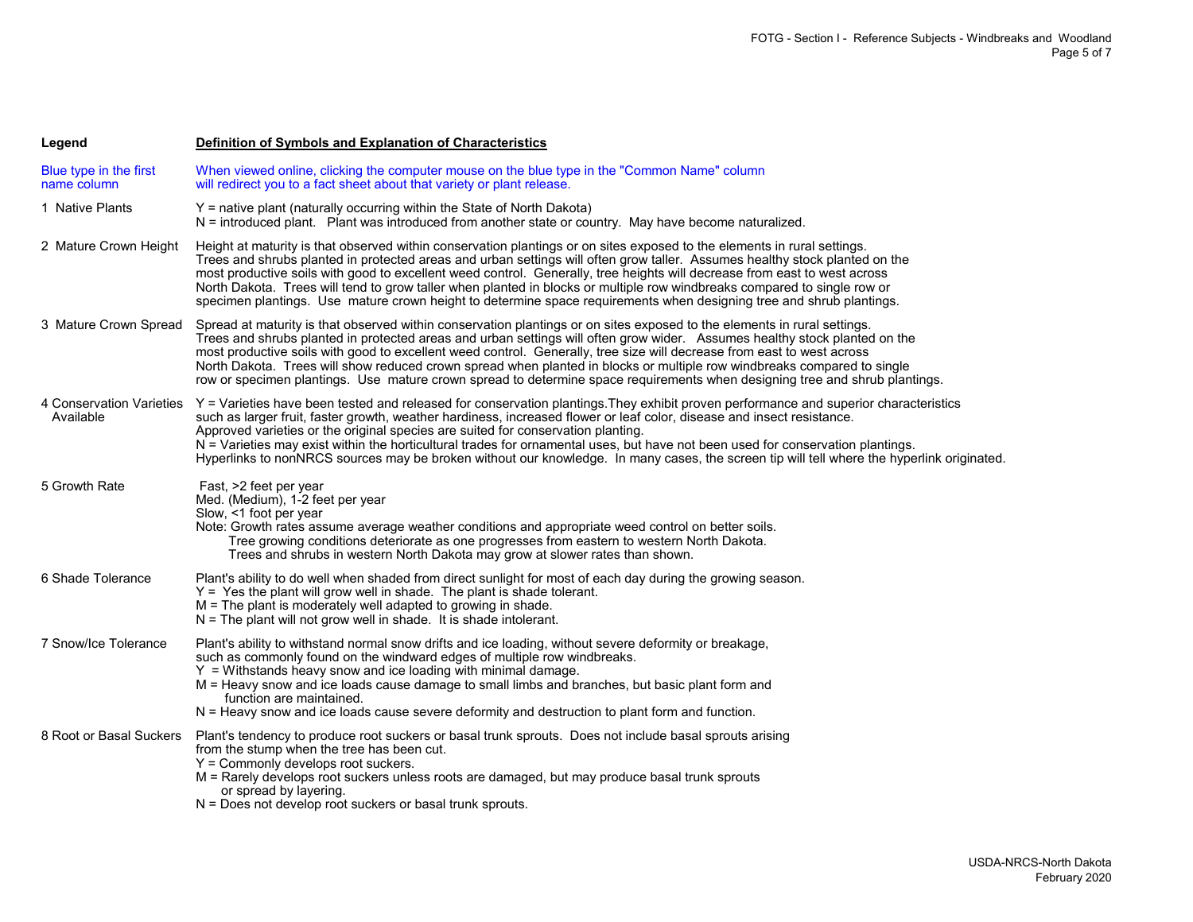| Legend                                | Definition of Symbols and Explanation of Characteristics                                                                                                                                                                                                                                                                                                                                                                                                                                                                                                                                                                                   |
|---------------------------------------|--------------------------------------------------------------------------------------------------------------------------------------------------------------------------------------------------------------------------------------------------------------------------------------------------------------------------------------------------------------------------------------------------------------------------------------------------------------------------------------------------------------------------------------------------------------------------------------------------------------------------------------------|
| Blue type in the first<br>name column | When viewed online, clicking the computer mouse on the blue type in the "Common Name" column<br>will redirect you to a fact sheet about that variety or plant release.                                                                                                                                                                                                                                                                                                                                                                                                                                                                     |
| 1 Native Plants                       | Y = native plant (naturally occurring within the State of North Dakota)<br>N = introduced plant. Plant was introduced from another state or country. May have become naturalized.                                                                                                                                                                                                                                                                                                                                                                                                                                                          |
| 2 Mature Crown Height                 | Height at maturity is that observed within conservation plantings or on sites exposed to the elements in rural settings.<br>Trees and shrubs planted in protected areas and urban settings will often grow taller. Assumes healthy stock planted on the<br>most productive soils with good to excellent weed control. Generally, tree heights will decrease from east to west across<br>North Dakota. Trees will tend to grow taller when planted in blocks or multiple row windbreaks compared to single row or<br>specimen plantings. Use mature crown height to determine space requirements when designing tree and shrub plantings.   |
| 3 Mature Crown Spread                 | Spread at maturity is that observed within conservation plantings or on sites exposed to the elements in rural settings.<br>Trees and shrubs planted in protected areas and urban settings will often grow wider. Assumes healthy stock planted on the<br>most productive soils with good to excellent weed control. Generally, tree size will decrease from east to west across<br>North Dakota. Trees will show reduced crown spread when planted in blocks or multiple row windbreaks compared to single<br>row or specimen plantings. Use mature crown spread to determine space requirements when designing tree and shrub plantings. |
| 4 Conservation Varieties<br>Available | Y = Varieties have been tested and released for conservation plantings. They exhibit proven performance and superior characteristics<br>such as larger fruit, faster growth, weather hardiness, increased flower or leaf color, disease and insect resistance.<br>Approved varieties or the original species are suited for conservation planting.<br>N = Varieties may exist within the horticultural trades for ornamental uses, but have not been used for conservation plantings.<br>Hyperlinks to nonNRCS sources may be broken without our knowledge. In many cases, the screen tip will tell where the hyperlink originated.        |
| 5 Growth Rate                         | Fast, >2 feet per year<br>Med. (Medium), 1-2 feet per year<br>Slow, <1 foot per year<br>Note: Growth rates assume average weather conditions and appropriate weed control on better soils.<br>Tree growing conditions deteriorate as one progresses from eastern to western North Dakota.<br>Trees and shrubs in western North Dakota may grow at slower rates than shown.                                                                                                                                                                                                                                                                 |
| 6 Shade Tolerance                     | Plant's ability to do well when shaded from direct sunlight for most of each day during the growing season.<br>Y = Yes the plant will grow well in shade. The plant is shade tolerant.<br>$M =$ The plant is moderately well adapted to growing in shade.<br>$N =$ The plant will not grow well in shade. It is shade intolerant.                                                                                                                                                                                                                                                                                                          |
| 7 Snow/Ice Tolerance                  | Plant's ability to withstand normal snow drifts and ice loading, without severe deformity or breakage,<br>such as commonly found on the windward edges of multiple row windbreaks.<br>$Y =$ Withstands heavy snow and ice loading with minimal damage.<br>M = Heavy snow and ice loads cause damage to small limbs and branches, but basic plant form and<br>function are maintained.<br>$N =$ Heavy snow and ice loads cause severe deformity and destruction to plant form and function.                                                                                                                                                 |
| 8 Root or Basal Suckers               | Plant's tendency to produce root suckers or basal trunk sprouts. Does not include basal sprouts arising<br>from the stump when the tree has been cut.<br>$Y =$ Commonly develops root suckers.<br>M = Rarely develops root suckers unless roots are damaged, but may produce basal trunk sprouts<br>or spread by layering.<br>N = Does not develop root suckers or basal trunk sprouts.                                                                                                                                                                                                                                                    |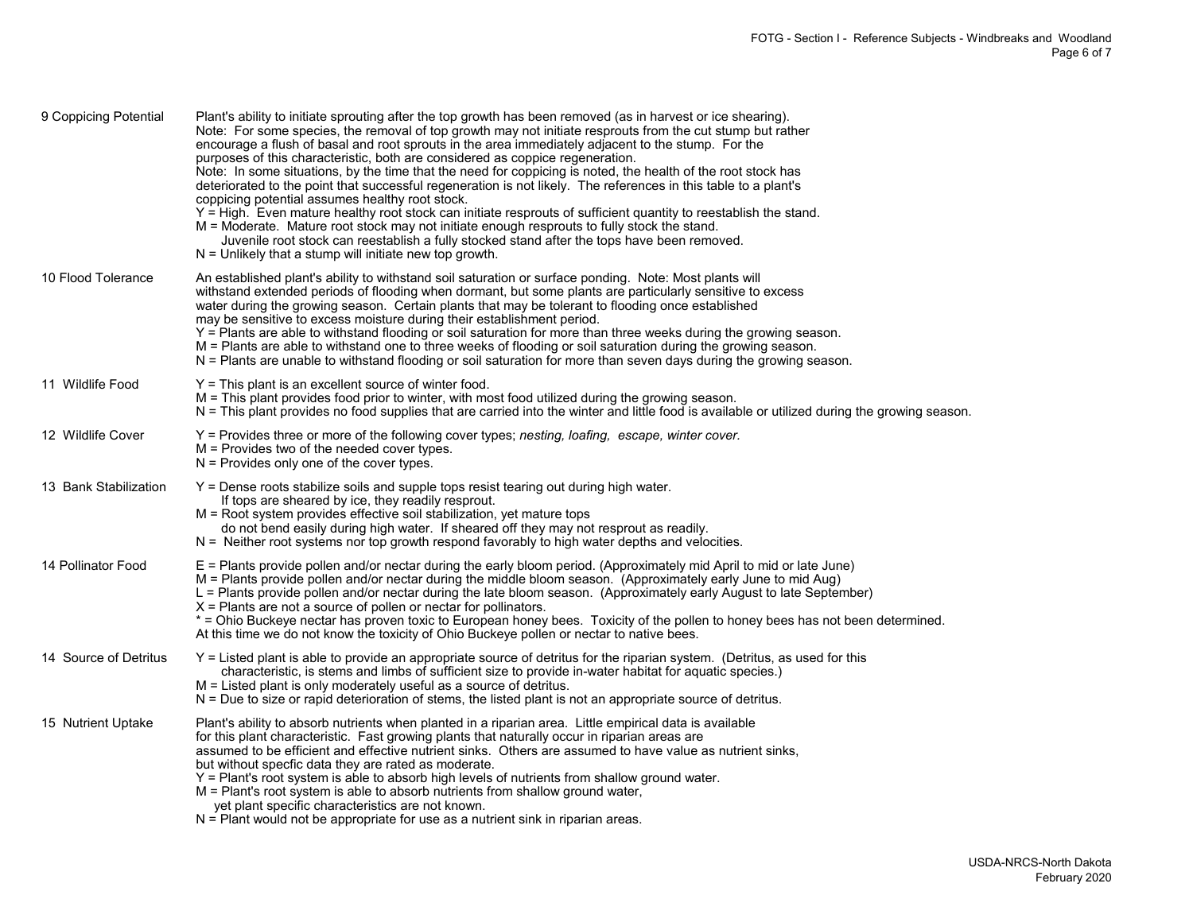| 9 Coppicing Potential | Plant's ability to initiate sprouting after the top growth has been removed (as in harvest or ice shearing).<br>Note: For some species, the removal of top growth may not initiate resprouts from the cut stump but rather<br>encourage a flush of basal and root sprouts in the area immediately adjacent to the stump. For the<br>purposes of this characteristic, both are considered as coppice regeneration.<br>Note: In some situations, by the time that the need for coppicing is noted, the health of the root stock has<br>deteriorated to the point that successful regeneration is not likely. The references in this table to a plant's<br>coppicing potential assumes healthy root stock.<br>Y = High. Even mature healthy root stock can initiate resprouts of sufficient quantity to reestablish the stand.<br>M = Moderate. Mature root stock may not initiate enough resprouts to fully stock the stand.<br>Juvenile root stock can reestablish a fully stocked stand after the tops have been removed.<br>$N =$ Unlikely that a stump will initiate new top growth. |
|-----------------------|----------------------------------------------------------------------------------------------------------------------------------------------------------------------------------------------------------------------------------------------------------------------------------------------------------------------------------------------------------------------------------------------------------------------------------------------------------------------------------------------------------------------------------------------------------------------------------------------------------------------------------------------------------------------------------------------------------------------------------------------------------------------------------------------------------------------------------------------------------------------------------------------------------------------------------------------------------------------------------------------------------------------------------------------------------------------------------------|
| 10 Flood Tolerance    | An established plant's ability to withstand soil saturation or surface ponding. Note: Most plants will<br>withstand extended periods of flooding when dormant, but some plants are particularly sensitive to excess<br>water during the growing season. Certain plants that may be tolerant to flooding once established<br>may be sensitive to excess moisture during their establishment period.<br>Y = Plants are able to withstand flooding or soil saturation for more than three weeks during the growing season.<br>M = Plants are able to withstand one to three weeks of flooding or soil saturation during the growing season.<br>N = Plants are unable to withstand flooding or soil saturation for more than seven days during the growing season.                                                                                                                                                                                                                                                                                                                         |
| 11 Wildlife Food      | $Y =$ This plant is an excellent source of winter food.<br>M = This plant provides food prior to winter, with most food utilized during the growing season.<br>N = This plant provides no food supplies that are carried into the winter and little food is available or utilized during the growing season.                                                                                                                                                                                                                                                                                                                                                                                                                                                                                                                                                                                                                                                                                                                                                                           |
| 12 Wildlife Cover     | Y = Provides three or more of the following cover types; nesting, loafing, escape, winter cover.<br>$M =$ Provides two of the needed cover types.<br>$N =$ Provides only one of the cover types.                                                                                                                                                                                                                                                                                                                                                                                                                                                                                                                                                                                                                                                                                                                                                                                                                                                                                       |
| 13 Bank Stabilization | Y = Dense roots stabilize soils and supple tops resist tearing out during high water.<br>If tops are sheared by ice, they readily resprout.<br>M = Root system provides effective soil stabilization, yet mature tops<br>do not bend easily during high water. If sheared off they may not resprout as readily.<br>N = Neither root systems nor top growth respond favorably to high water depths and velocities.                                                                                                                                                                                                                                                                                                                                                                                                                                                                                                                                                                                                                                                                      |
| 14 Pollinator Food    | E = Plants provide pollen and/or nectar during the early bloom period. (Approximately mid April to mid or late June)<br>M = Plants provide pollen and/or nectar during the middle bloom season. (Approximately early June to mid Aug)<br>L = Plants provide pollen and/or nectar during the late bloom season. (Approximately early August to late September)<br>$X =$ Plants are not a source of pollen or nectar for pollinators.<br>* = Ohio Buckeye nectar has proven toxic to European honey bees. Toxicity of the pollen to honey bees has not been determined.<br>At this time we do not know the toxicity of Ohio Buckeye pollen or nectar to native bees.                                                                                                                                                                                                                                                                                                                                                                                                                     |
| 14 Source of Detritus | Y = Listed plant is able to provide an appropriate source of detritus for the riparian system. (Detritus, as used for this<br>characteristic, is stems and limbs of sufficient size to provide in-water habitat for aquatic species.)<br>M = Listed plant is only moderately useful as a source of detritus.<br>N = Due to size or rapid deterioration of stems, the listed plant is not an appropriate source of detritus.                                                                                                                                                                                                                                                                                                                                                                                                                                                                                                                                                                                                                                                            |
| 15 Nutrient Uptake    | Plant's ability to absorb nutrients when planted in a riparian area. Little empirical data is available<br>for this plant characteristic. Fast growing plants that naturally occur in riparian areas are<br>assumed to be efficient and effective nutrient sinks. Others are assumed to have value as nutrient sinks,<br>but without specfic data they are rated as moderate.<br>Y = Plant's root system is able to absorb high levels of nutrients from shallow ground water.<br>M = Plant's root system is able to absorb nutrients from shallow ground water,<br>yet plant specific characteristics are not known.<br>$N =$ Plant would not be appropriate for use as a nutrient sink in riparian areas.                                                                                                                                                                                                                                                                                                                                                                            |